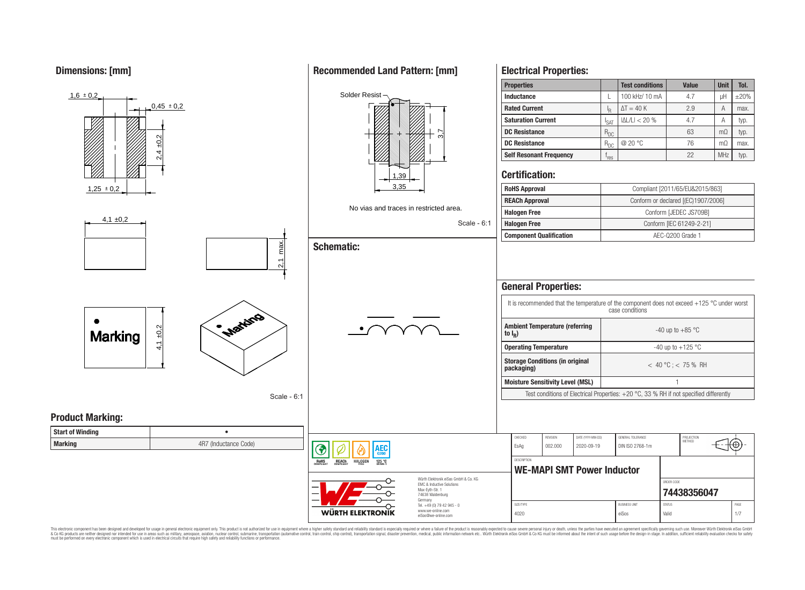**Dimensions: [mm]**



This electronic component has been designed and developed for usage in general electronic equipment only. This product is not authorized for use in equipment where a higher safety standard and reliability standard is espec & Ook product a label and the membed of the seasuch as marked and as which such a membed and the such assume that income in the seasuch and the simulation and the such assume that include to the such a membed and the such

# **Recommended Land Pattern: [mm]**

**Electrical Properties:**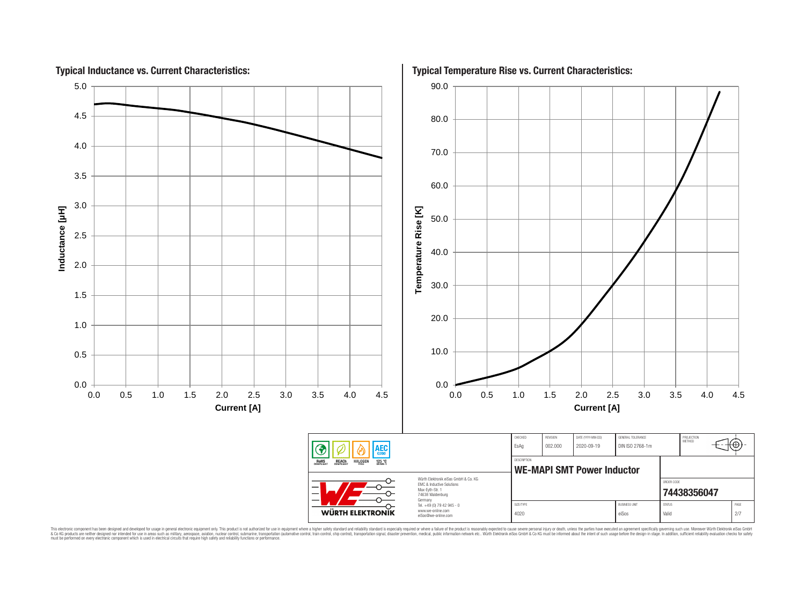

This electronic component has been designed and developed for usage in general electronic equipment only. This product is not authorized for use in equipment where a higher safely standard and reliability standard si espec & Ook product a label and the membed of the seasuch as marked and as which such a membed and the such assume that income in the seasuch and the simulation and the such assume that include to the such a membed and the such

# **Typical Temperature Rise vs. Current Characteristics:**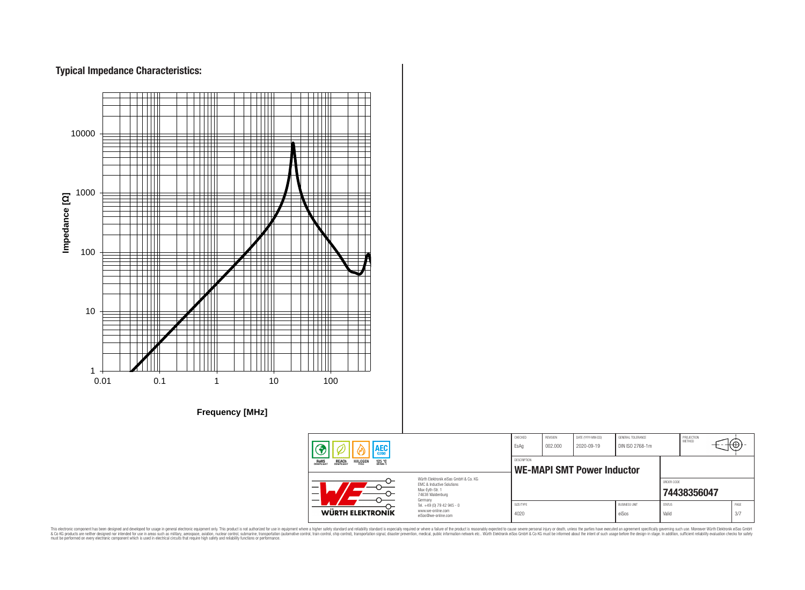# **Typical Impedance Characteristics:**



This electronic component has been designed and developed for usage in general electronic equipment only. This product is not authorized for use in equipment where a higher safely standard and reliability standard si espec & Ook product a label and the membed of the seasuch as marked and as which such a membed and the such assume that income in the seasuch and the simulation and the such assume that include to the such a membed and the such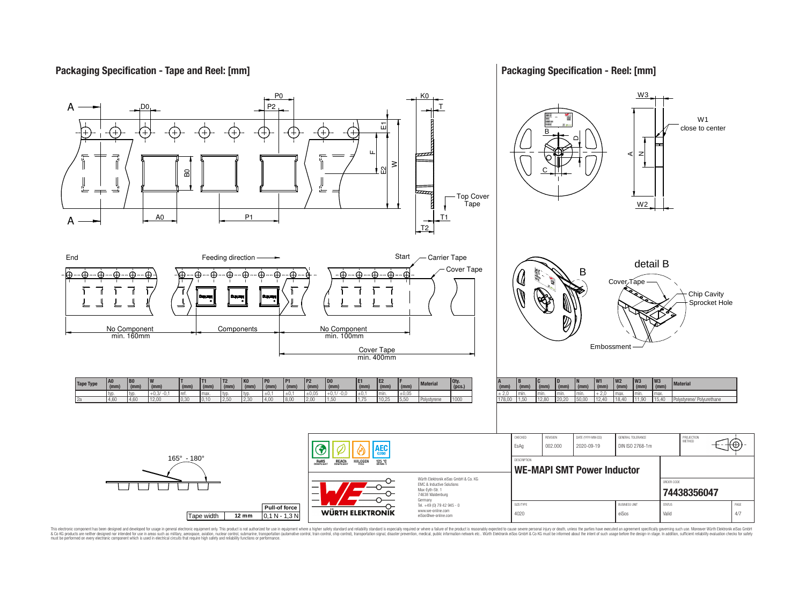## **Packaging Specification - Tape and Reel: [mm]**

## **Packaging Specification - Reel: [mm]**



This electronic component has been designed and developed for usage in general electronic equipment only. This product is not authorized for subserved requipment where a higher selection equipment where a higher selection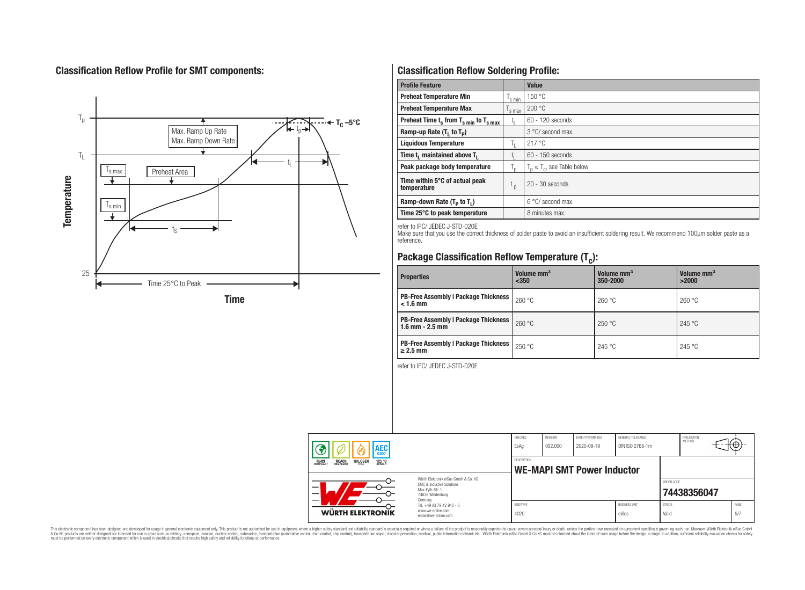# **Classification Reflow Profile for SMT components:**



# **Classification Reflow Soldering Profile:**

| <b>Profile Feature</b>                             |                    | <b>Value</b>                     |
|----------------------------------------------------|--------------------|----------------------------------|
| <b>Preheat Temperature Min</b>                     | <sup>I</sup> s min | 150 °C                           |
| <b>Preheat Temperature Max</b>                     | <sup>I</sup> s max | 200 °C                           |
| Preheat Time $t_s$ from $T_{s min}$ to $T_{s max}$ | $t_{\rm s}$        | $60 - 120$ seconds               |
| Ramp-up Rate $(T_1$ to $T_p$ )                     |                    | 3 °C/ second max.                |
| <b>Liquidous Temperature</b>                       | Ь.                 | 217 °C                           |
| Time $t_i$ maintained above $T_i$                  | կ                  | $60 - 150$ seconds               |
| Peak package body temperature                      | l n                | $T_p \leq T_c$ , see Table below |
| Time within 5°C of actual peak<br>temperature      | $t_{p}$            | $20 - 30$ seconds                |
| Ramp-down Rate $(T_p$ to $T_1$ )                   |                    | $6^{\circ}$ C/ second max.       |
| Time 25°C to peak temperature                      |                    | 8 minutes max.                   |

refer to IPC/ JEDEC J-STD-020E

Make sure that you use the correct thickness of solder paste to avoid an insufficient soldering result. We recommend 100µm solder paste as a reference.

# **Package Classification Reflow Temperature (T<sup>c</sup> ):**

| <b>Properties</b>                                                    | Volume mm <sup>3</sup><br>< 350 | Volume mm <sup>3</sup><br>350-2000 | Volume mm <sup>3</sup><br>>2000 |
|----------------------------------------------------------------------|---------------------------------|------------------------------------|---------------------------------|
| <b>PB-Free Assembly   Package Thickness  </b><br>$< 1.6$ mm          | 260 °C                          | 260 °C                             | 260 °C                          |
| <b>PB-Free Assembly   Package Thickness  </b><br>$1.6$ mm $- 2.5$ mm | 260 °C                          | 250 °C                             | 245 °C                          |
| <b>PB-Free Assembly   Package Thickness  </b><br>$\geq$ 2.5 mm       | 250 °C                          | 245 °C                             | 245 °C                          |

refer to IPC/ JEDEC J-STD-020E

| AEC                                                                                   |                                                                                                                     | CHECKED<br>EsAg                                         | <b>REVISION</b><br>002.000 | DATE (YYYY-MM-DD)<br>2020-09-19 | GENERAL TOLERANCE<br>DIN ISO 2768-1m |                        | PROJECTION<br>METHOD | ᠊᠊᠊ᡈ        |
|---------------------------------------------------------------------------------------|---------------------------------------------------------------------------------------------------------------------|---------------------------------------------------------|----------------------------|---------------------------------|--------------------------------------|------------------------|----------------------|-------------|
| ROHS<br>COMPLIANT<br><b>REACH</b><br>COMPLIANT<br><b>HALOGEN</b><br>125 °C<br>GRADE 1 |                                                                                                                     | <b>DESCRIPTION</b><br><b>WE-MAPI SMT Power Inductor</b> |                            |                                 |                                      |                        |                      |             |
|                                                                                       | Würth Flektronik eiSos GmbH & Co. KG<br>EMC & Inductive Solutions<br>Max-Eyth-Str. 1<br>74638 Waldenburg<br>Germany |                                                         |                            |                                 |                                      | ORDER CODE             | 74438356047          |             |
| WÜRTH ELEKTRONIK                                                                      | Tel. +49 (0) 79 42 945 - 0<br>www.we-online.com<br>eiSos@we-online.com                                              | SIZE/TYPE<br>4020                                       |                            |                                 | <b>BLISINESS LINIT</b><br>eiSos      | <b>STATUS</b><br>Valid |                      | PAGE<br>5/7 |

This electronic component has been designed and developed for usage in general electronic equipment only. This product is not authorized for subserved requipment where a higher selection equipment where a higher selection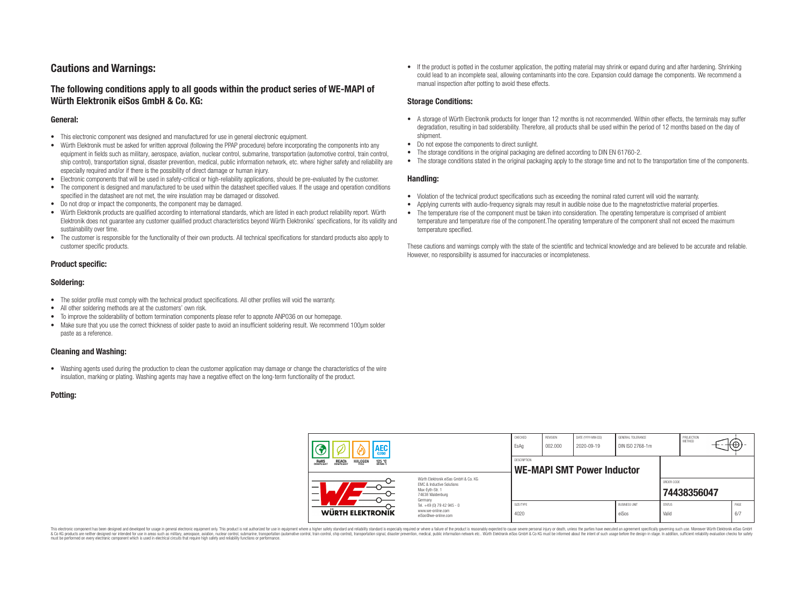# **Cautions and Warnings:**

## **The following conditions apply to all goods within the product series of WE-MAPI of Würth Elektronik eiSos GmbH & Co. KG:**

#### **General:**

- This electronic component was designed and manufactured for use in general electronic equipment.
- Würth Elektronik must be asked for written approval (following the PPAP procedure) before incorporating the components into any equipment in fields such as military, aerospace, aviation, nuclear control, submarine, transportation (automotive control, train control, ship control), transportation signal, disaster prevention, medical, public information network, etc. where higher safety and reliability are especially required and/or if there is the possibility of direct damage or human injury.
- Electronic components that will be used in safety-critical or high-reliability applications, should be pre-evaluated by the customer.
- The component is designed and manufactured to be used within the datasheet specified values. If the usage and operation conditions specified in the datasheet are not met, the wire insulation may be damaged or dissolved.
- Do not drop or impact the components, the component may be damaged.
- Würth Elektronik products are qualified according to international standards, which are listed in each product reliability report. Würth Elektronik does not guarantee any customer qualified product characteristics beyond Würth Elektroniks' specifications, for its validity and sustainability over time.
- The customer is responsible for the functionality of their own products. All technical specifications for standard products also apply to customer specific products.

#### **Product specific:**

#### **Soldering:**

- The solder profile must comply with the technical product specifications. All other profiles will void the warranty.
- All other soldering methods are at the customers' own risk.
- To improve the solderability of bottom termination components please refer to appnote ANP036 on our homepage.
- Make sure that you use the correct thickness of solder paste to avoid an insufficient soldering result. We recommend 100µm solder paste as a reference.

#### **Cleaning and Washing:**

• Washing agents used during the production to clean the customer application may damage or change the characteristics of the wire insulation, marking or plating. Washing agents may have a negative effect on the long-term functionality of the product.

#### **Potting:**

• If the product is potted in the costumer application, the potting material may shrink or expand during and after hardening. Shrinking could lead to an incomplete seal, allowing contaminants into the core. Expansion could damage the components. We recommend a manual inspection after potting to avoid these effects.

#### **Storage Conditions:**

- A storage of Würth Electronik products for longer than 12 months is not recommended. Within other effects, the terminals may suffer degradation, resulting in bad solderability. Therefore, all products shall be used within the period of 12 months based on the day of shipment.
- Do not expose the components to direct sunlight.
- The storage conditions in the original packaging are defined according to DIN EN 61760-2.
- The storage conditions stated in the original packaging apply to the storage time and not to the transportation time of the components.

#### **Handling:**

- Violation of the technical product specifications such as exceeding the nominal rated current will void the warranty.
- Applying currents with audio-frequency signals may result in audible noise due to the magnetostrictive material properties.
- The temperature rise of the component must be taken into consideration. The operating temperature is comprised of ambient temperature and temperature rise of the component.The operating temperature of the component shall not exceed the maximum temperature specified.

These cautions and warnings comply with the state of the scientific and technical knowledge and are believed to be accurate and reliable. However, no responsibility is assumed for inaccuracies or incompleteness.

| AEC                                                                                          |                                                                                                                                                                                               | CHECKED<br>EsAq                                         | <b>REVISION</b><br>002.000 | DATE (YYYY-MM-DD)<br>2020-09-19 | GENERAL TOLERANCE<br>DIN ISO 2768-1m |                        | PROJECTION<br>METHOD |             |
|----------------------------------------------------------------------------------------------|-----------------------------------------------------------------------------------------------------------------------------------------------------------------------------------------------|---------------------------------------------------------|----------------------------|---------------------------------|--------------------------------------|------------------------|----------------------|-------------|
| <b>ROHS</b><br>COMPLIANT<br><b>REACH</b><br>COMPLIANT<br><b>HALOGEN</b><br>125 °C<br>Grade 1 |                                                                                                                                                                                               | <b>DESCRIPTION</b><br><b>WE-MAPI SMT Power Inductor</b> |                            |                                 |                                      |                        |                      |             |
|                                                                                              | Würth Flektronik eiSos GmbH & Co. KG<br>FMC & Inductive Solutions<br>Max-Eyth-Str. 1<br>74638 Waldenburg<br>Germany<br>Tel. +49 (0) 79 42 945 - 0<br>www.we-online.com<br>eiSos@we-online.com |                                                         |                            |                                 |                                      | ORDER CODE             | 74438356047          |             |
| WÜRTH ELEKTRONIK                                                                             |                                                                                                                                                                                               | SIZE/TYPE<br>4020                                       |                            |                                 | <b>BUSINESS UNIT</b><br>eiSos        | <b>STATUS</b><br>Valid |                      | PAGE<br>6/7 |

This electronic component has been designed and developed for usage in general electronic equipment only. This product is not authorized for use in equipment where a higher safety standard and reliability standard si espec & Ook product a label and the membed of the seasuch as marked and as which such a membed and the such assume that income in the seasuch and the simulation and the such assume that include to the such a membed and the such